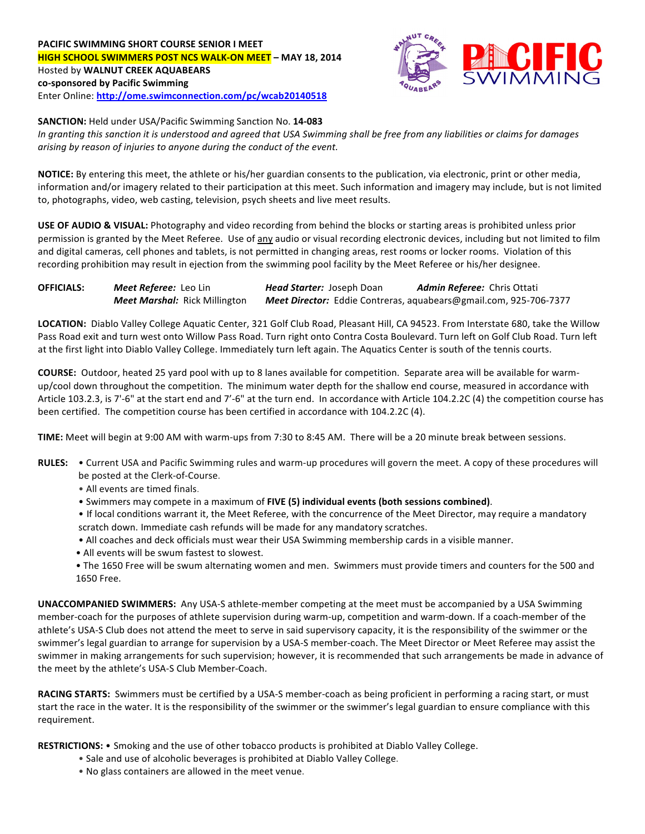## **PACIFIC SWIMMING SHORT COURSE SENIOR I MEET HIGH SCHOOL SWIMMERS POST NCS WALK-ON MEET** - MAY 18, 2014 Hosted by **WALNUT CREEK AQUABEARS co-sponsored by Pacific Swimming** Enter Online: http://ome.swimconnection.com/pc/wcab20140518



**SANCTION:** Held under USA/Pacific Swimming Sanction No. 14-083

In granting this sanction it is understood and agreed that USA Swimming shall be free from any liabilities or claims for damages *arising* by reason of *injuries* to anyone during the conduct of the event.

**NOTICE:** By entering this meet, the athlete or his/her guardian consents to the publication, via electronic, print or other media, information and/or imagery related to their participation at this meet. Such information and imagery may include, but is not limited to, photographs, video, web casting, television, psych sheets and live meet results.

**USE OF AUDIO & VISUAL:** Photography and video recording from behind the blocks or starting areas is prohibited unless prior permission is granted by the Meet Referee. Use of any audio or visual recording electronic devices, including but not limited to film and digital cameras, cell phones and tablets, is not permitted in changing areas, rest rooms or locker rooms. Violation of this recording prohibition may result in ejection from the swimming pool facility by the Meet Referee or his/her designee.

| <b>OFFICIALS:</b> | Meet Referee: Leo Lin                | <b>Head Starter:</b> Joseph Doan | Admin Referee: Chris Ottati                                       |  |  |  |
|-------------------|--------------------------------------|----------------------------------|-------------------------------------------------------------------|--|--|--|
|                   | <b>Meet Marshal:</b> Rick Millington |                                  | Meet Director: Eddie Contreras, aquabears@gmail.com, 925-706-7377 |  |  |  |

LOCATION: Diablo Valley College Aquatic Center, 321 Golf Club Road, Pleasant Hill, CA 94523. From Interstate 680, take the Willow Pass Road exit and turn west onto Willow Pass Road. Turn right onto Contra Costa Boulevard. Turn left on Golf Club Road. Turn left at the first light into Diablo Valley College. Immediately turn left again. The Aquatics Center is south of the tennis courts.

**COURSE:** Outdoor, heated 25 yard pool with up to 8 lanes available for competition. Separate area will be available for warmup/cool down throughout the competition. The minimum water depth for the shallow end course, measured in accordance with Article 103.2.3, is 7'-6" at the start end and 7'-6" at the turn end. In accordance with Article 104.2.2C (4) the competition course has been certified. The competition course has been certified in accordance with 104.2.2C (4).

**TIME:** Meet will begin at 9:00 AM with warm-ups from 7:30 to 8:45 AM. There will be a 20 minute break between sessions.

- RULES: . Current USA and Pacific Swimming rules and warm-up procedures will govern the meet. A copy of these procedures will be posted at the Clerk-of-Course.
	- All events are timed finals.
	- Swimmers may compete in a maximum of FIVE (5) individual events (both sessions combined).
	- If local conditions warrant it, the Meet Referee, with the concurrence of the Meet Director, may require a mandatory scratch down. Immediate cash refunds will be made for any mandatory scratches.
	- All coaches and deck officials must wear their USA Swimming membership cards in a visible manner.
	- All events will be swum fastest to slowest.
	- The 1650 Free will be swum alternating women and men. Swimmers must provide timers and counters for the 500 and 1650 Free.

**UNACCOMPANIED SWIMMERS:** Any USA-S athlete-member competing at the meet must be accompanied by a USA Swimming member-coach for the purposes of athlete supervision during warm-up, competition and warm-down. If a coach-member of the athlete's USA-S Club does not attend the meet to serve in said supervisory capacity, it is the responsibility of the swimmer or the swimmer's legal guardian to arrange for supervision by a USA-S member-coach. The Meet Director or Meet Referee may assist the swimmer in making arrangements for such supervision; however, it is recommended that such arrangements be made in advance of the meet by the athlete's USA-S Club Member-Coach.

RACING STARTS: Swimmers must be certified by a USA-S member-coach as being proficient in performing a racing start, or must start the race in the water. It is the responsibility of the swimmer or the swimmer's legal guardian to ensure compliance with this requirement.

RESTRICTIONS: • Smoking and the use of other tobacco products is prohibited at Diablo Valley College.

- Sale and use of alcoholic beverages is prohibited at Diablo Valley College.
- No glass containers are allowed in the meet venue.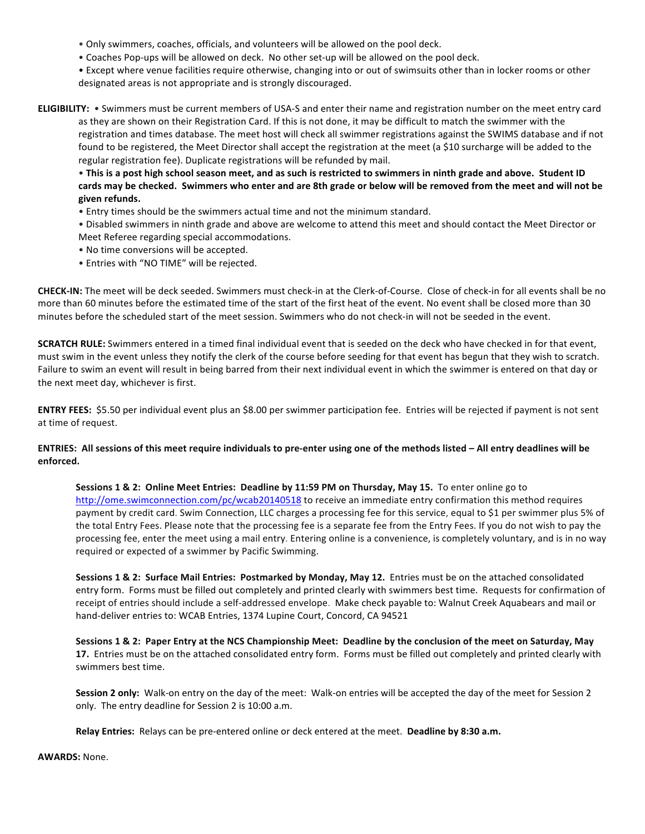- Only swimmers, coaches, officials, and volunteers will be allowed on the pool deck.
- Coaches Pop-ups will be allowed on deck. No other set-up will be allowed on the pool deck.
- Except where venue facilities require otherwise, changing into or out of swimsuits other than in locker rooms or other designated areas is not appropriate and is strongly discouraged.
- **ELIGIBILITY:** . Swimmers must be current members of USA-S and enter their name and registration number on the meet entry card as they are shown on their Registration Card. If this is not done, it may be difficult to match the swimmer with the registration and times database. The meet host will check all swimmer registrations against the SWIMS database and if not found to be registered, the Meet Director shall accept the registration at the meet (a \$10 surcharge will be added to the regular registration fee). Duplicate registrations will be refunded by mail.

• This is a post high school season meet, and as such is restricted to swimmers in ninth grade and above. Student ID cards may be checked. Swimmers who enter and are 8th grade or below will be removed from the meet and will not be **given refunds.**

- Entry times should be the swimmers actual time and not the minimum standard.
- Disabled swimmers in ninth grade and above are welcome to attend this meet and should contact the Meet Director or Meet Referee regarding special accommodations.
- No time conversions will be accepted.
- Entries with "NO TIME" will be rejected.

**CHECK-IN:** The meet will be deck seeded. Swimmers must check-in at the Clerk-of-Course. Close of check-in for all events shall be no more than 60 minutes before the estimated time of the start of the first heat of the event. No event shall be closed more than 30 minutes before the scheduled start of the meet session. Swimmers who do not check-in will not be seeded in the event.

**SCRATCH RULE:** Swimmers entered in a timed final individual event that is seeded on the deck who have checked in for that event, must swim in the event unless they notify the clerk of the course before seeding for that event has begun that they wish to scratch. Failure to swim an event will result in being barred from their next individual event in which the swimmer is entered on that day or the next meet day, whichever is first.

**ENTRY FEES:** \$5.50 per individual event plus an \$8.00 per swimmer participation fee. Entries will be rejected if payment is not sent at time of request.

## ENTRIES: All sessions of this meet require individuals to pre-enter using one of the methods listed - All entry deadlines will be **enforced.**

**Sessions 1 & 2: Online Meet Entries: Deadline by 11:59 PM on Thursday, May 15.** To enter online go to http://ome.swimconnection.com/pc/wcab20140518 to receive an immediate entry confirmation this method requires payment by credit card. Swim Connection, LLC charges a processing fee for this service, equal to \$1 per swimmer plus 5% of the total Entry Fees. Please note that the processing fee is a separate fee from the Entry Fees. If you do not wish to pay the processing fee, enter the meet using a mail entry. Entering online is a convenience, is completely voluntary, and is in no way required or expected of a swimmer by Pacific Swimming.

**Sessions 1 & 2: Surface Mail Entries: Postmarked by Monday, May 12.** Entries must be on the attached consolidated entry form. Forms must be filled out completely and printed clearly with swimmers best time. Requests for confirmation of receipt of entries should include a self-addressed envelope. Make check payable to: Walnut Creek Aquabears and mail or hand-deliver entries to: WCAB Entries, 1374 Lupine Court, Concord, CA 94521

Sessions 1 & 2: Paper Entry at the NCS Championship Meet: Deadline by the conclusion of the meet on Saturday, May **17.** Entries must be on the attached consolidated entry form. Forms must be filled out completely and printed clearly with swimmers best time.

**Session 2 only:** Walk-on entry on the day of the meet: Walk-on entries will be accepted the day of the meet for Session 2 only. The entry deadline for Session 2 is 10:00 a.m.

**Relay Entries:** Relays can be pre-entered online or deck entered at the meet. Deadline by 8:30 a.m.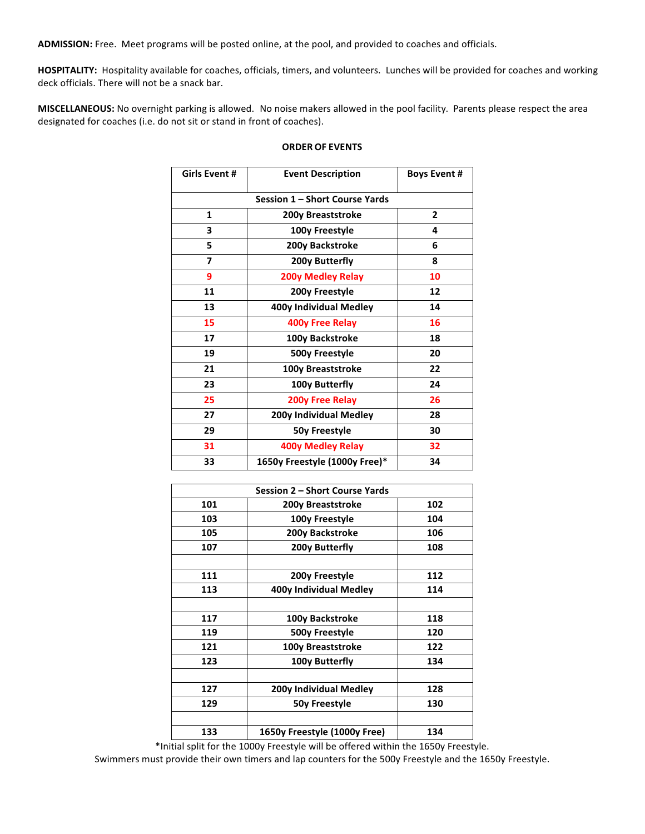ADMISSION: Free. Meet programs will be posted online, at the pool, and provided to coaches and officials.

HOSPITALITY: Hospitality available for coaches, officials, timers, and volunteers. Lunches will be provided for coaches and working deck officials. There will not be a snack bar.

MISCELLANEOUS: No overnight parking is allowed. No noise makers allowed in the pool facility. Parents please respect the area designated for coaches (i.e. do not sit or stand in front of coaches).

| Girls Event #                  | <b>Event Description</b> | <b>Boys Event #</b> |  |  |  |  |  |
|--------------------------------|--------------------------|---------------------|--|--|--|--|--|
| Session 1 - Short Course Yards |                          |                     |  |  |  |  |  |
| 1                              | $\mathbf{2}$             |                     |  |  |  |  |  |
| 3                              | 100y Freestyle           | 4                   |  |  |  |  |  |
| 5                              | 200y Backstroke          | 6                   |  |  |  |  |  |
| $\overline{7}$                 | 200y Butterfly           | 8                   |  |  |  |  |  |
| 9                              | 200y Medley Relay        | 10                  |  |  |  |  |  |
| 11                             | 200y Freestyle           | 12                  |  |  |  |  |  |
| 13                             | 400y Individual Medley   | 14                  |  |  |  |  |  |
| 15                             | <b>400y Free Relay</b>   | 16                  |  |  |  |  |  |
| 17                             | 100y Backstroke          | 18                  |  |  |  |  |  |
| 19                             | 500y Freestyle           | 20                  |  |  |  |  |  |
| 21                             | 100y Breaststroke        | 22                  |  |  |  |  |  |
| 23                             | 100y Butterfly           | 24                  |  |  |  |  |  |
| 25                             | <b>200y Free Relay</b>   | 26                  |  |  |  |  |  |
| 27                             | 200y Individual Medley   |                     |  |  |  |  |  |
| 29                             | 50y Freestyle            | 30                  |  |  |  |  |  |
| 31                             | <b>400y Medley Relay</b> | 32                  |  |  |  |  |  |
| 33                             | 34                       |                     |  |  |  |  |  |

## **ORDER OF EVENTS**

|     | Session 2 – Short Course Yards |     |
|-----|--------------------------------|-----|
| 101 | 200y Breaststroke              | 102 |
| 103 | 100y Freestyle                 | 104 |
| 105 | 200y Backstroke                | 106 |
| 107 | 200y Butterfly                 | 108 |
|     |                                |     |
| 111 | 200y Freestyle                 | 112 |
| 113 | 400y Individual Medley         | 114 |
|     |                                |     |
| 117 | 100y Backstroke                | 118 |
| 119 | 500y Freestyle                 | 120 |
| 121 | 100y Breaststroke              | 122 |
| 123 | 100y Butterfly                 | 134 |
|     |                                |     |
| 127 | 200y Individual Medley         | 128 |
| 129 | 50y Freestyle                  | 130 |
|     |                                |     |
| 133 | 1650y Freestyle (1000y Free)   | 134 |
|     |                                |     |

\*Initial split for the 1000y Freestyle will be offered within the 1650y Freestyle.

Swimmers must provide their own timers and lap counters for the 500y Freestyle and the 1650y Freestyle.